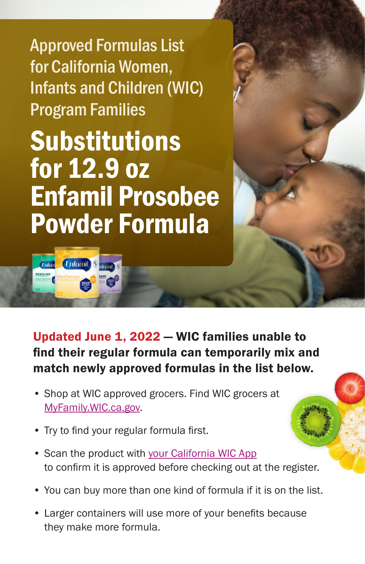Approved Formulas List for California Women, Infants and Children (WIC) Program Families

Substitutions for 12.9 oz Enfamil Prosobee Powder Formula

**Enfomil** 

*<u>Unfon</u>* 

Updated June 1, 2022 — WIC families unable to find their regular formula can temporarily mix and match newly approved formulas in the list below.

- Shop at WIC approved grocers. Find WIC grocers at [MyFamily.WIC.ca.gov.](http://MyFamily.WIC.ca.gov)
- Try to find your regular formula first.
- Scan the product with [your California WIC App](https://www.myfamily.wic.ca.gov/Home/WICApp#WICApp)  to confirm it is approved before checking out at the register.
- You can buy more than one kind of formula if it is on the list.
- Larger containers will use more of your benefits because they make more formula.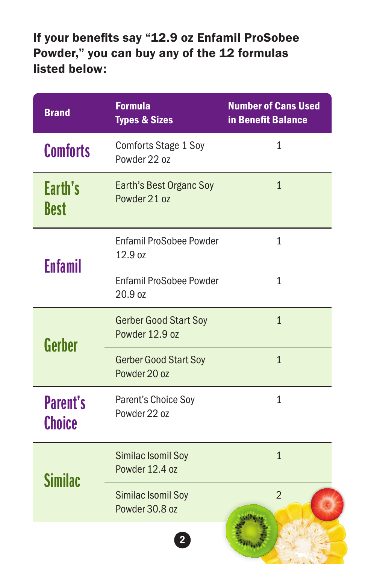## If your benefits say "12.9 oz Enfamil ProSobee Powder," you can buy any of the 12 formulas listed below:

| <b>Brand</b>                     | <b>Formula</b><br><b>Types &amp; Sizes</b>     | <b>Number of Cans Used</b><br>in Benefit Balance |
|----------------------------------|------------------------------------------------|--------------------------------------------------|
| <b>Comforts</b>                  | <b>Comforts Stage 1 Soy</b><br>Powder 22 oz    | $\mathbf{1}$                                     |
| Earth's<br>Best                  | Earth's Best Organc Soy<br>Powder 21 oz        | $\mathbf{1}$                                     |
| <b>Enfamil</b>                   | <b>Enfamil ProSobee Powder</b><br>12.9 oz      | $\mathbf{1}$                                     |
|                                  | Enfamil ProSobee Powder<br>20.9 oz             | $\mathbf{1}$                                     |
| Gerber                           | <b>Gerber Good Start Soy</b><br>Powder 12.9 oz | $\mathbf{1}$                                     |
|                                  | <b>Gerber Good Start Soy</b><br>Powder 20 oz   | $\mathbf{1}$                                     |
| <b>Parent's</b><br><b>Choice</b> | Parent's Choice Soy<br>Powder 22 oz            | $\mathbf{1}$                                     |
| <b>Similac</b>                   | Similac Isomil Soy<br>Powder 12.4 oz           | $\mathbf{1}$                                     |
|                                  | Similac Isomil Soy<br>Powder 30.8 oz           | $\overline{2}$                                   |
|                                  |                                                |                                                  |

 $J$  ...